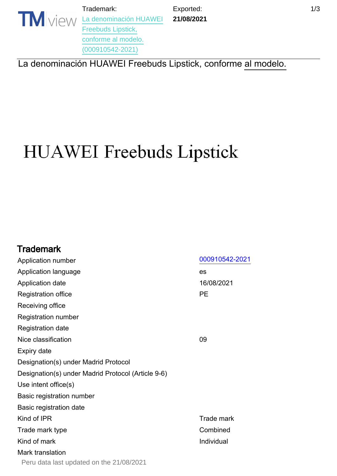Trademark:

Exported: **21/08/2021**  $1/3$ 

**TM** VIEW [La denominación HUAWEI](https://www.tmdn.org/tmview/#/tmview/detail/PE500009105422021) [Freebuds Lipstick,](https://www.tmdn.org/tmview/#/tmview/detail/PE500009105422021) [conforme al modelo.](https://www.tmdn.org/tmview/#/tmview/detail/PE500009105422021) [\(000910542-2021\)](https://www.tmdn.org/tmview/#/tmview/detail/PE500009105422021)

[La denominación HUAWEI Freebuds Lipstick, conforme al modelo.](https://www.tmdn.org/tmview/#/tmview/detail/PE500009105422021)

# **HUAWEI** Freebuds Lipstick

| <b>Trademark</b>                                   |                   |
|----------------------------------------------------|-------------------|
| Application number                                 | 000910542-2021    |
| Application language                               | es                |
| Application date                                   | 16/08/2021        |
| <b>Registration office</b>                         | PE                |
| Receiving office                                   |                   |
| <b>Registration number</b>                         |                   |
| <b>Registration date</b>                           |                   |
| Nice classification                                | 09                |
| <b>Expiry date</b>                                 |                   |
| Designation(s) under Madrid Protocol               |                   |
| Designation(s) under Madrid Protocol (Article 9-6) |                   |
| Use intent office(s)                               |                   |
| Basic registration number                          |                   |
| Basic registration date                            |                   |
| Kind of IPR                                        | <b>Trade mark</b> |
| Trade mark type                                    | Combined          |
| Kind of mark                                       | Individual        |
| Mark translation                                   |                   |
| Peru data last updated on the 21/08/2021           |                   |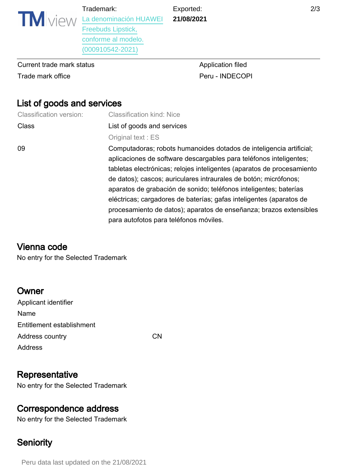Exported: **21/08/2021**

**TM** VIEW [La denominación HUAWEI](https://www.tmdn.org/tmview/#/tmview/detail/PE500009105422021) [Freebuds Lipstick,](https://www.tmdn.org/tmview/#/tmview/detail/PE500009105422021) [conforme al modelo.](https://www.tmdn.org/tmview/#/tmview/detail/PE500009105422021)

[\(000910542-2021\)](https://www.tmdn.org/tmview/#/tmview/detail/PE500009105422021)

Trademark:

Current trade mark status **Application filed** Application filed Trade mark office **Peru - INDECOPI** 

# List of goods and services

| <b>Classification version:</b> | <b>Classification kind: Nice</b>                                       |  |
|--------------------------------|------------------------------------------------------------------------|--|
| <b>Class</b>                   | List of goods and services                                             |  |
|                                | Original text: ES                                                      |  |
| 09                             | Computadoras; robots humanoides dotados de inteligencia artificial;    |  |
|                                | aplicaciones de software descargables para teléfonos inteligentes;     |  |
|                                | tabletas electrónicas; relojes inteligentes (aparatos de procesamiento |  |
|                                | de datos); cascos; auriculares intraurales de botón; micrófonos;       |  |
|                                | aparatos de grabación de sonido; teléfonos inteligentes; baterías      |  |
|                                | eléctricas; cargadores de baterías; gafas inteligentes (aparatos de    |  |
|                                | procesamiento de datos); aparatos de enseñanza; brazos extensibles     |  |
|                                | para autofotos para teléfonos móviles.                                 |  |

# Vienna code

No entry for the Selected Trademark

# **Owner**

| Applicant identifier      |     |
|---------------------------|-----|
| Name                      |     |
| Entitlement establishment |     |
| Address country           | C.N |
| Address                   |     |
|                           |     |

# **Representative**

No entry for the Selected Trademark

# Correspondence address

No entry for the Selected Trademark

# **Seniority**

Peru data last updated on the 21/08/2021